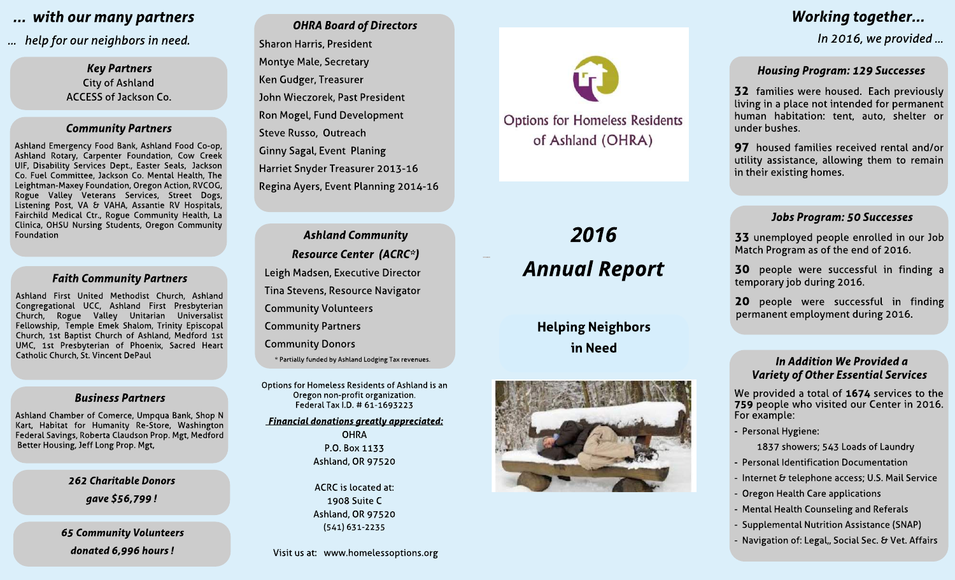# **... with our many partners**

**... help for our neighborsin need.**

**Key Partners** City of Ashland ACCESS of Jackson Co.

## **Community Partners**

Ashland Emergency Food Bank, Ashland Food Co-op, Ashland Rotary, Carpenter Foundation, Cow Creek UIF, Disability Services Dept., Easter Seals, Jackson Co. Fuel Committee, Jackson Co. Mental Health, The Leightman-Maxey Foundation, Oregon Action, RVCOG, Rogue Valley Veterans Services, Street Dogs, Listening Post, VA & VAHA, Assantie RV Hospitals, Fairchild Medical Ctr., Rogue Community Health, La Clinica, OHSU Nursing Students, Oregon Community Foundation

#### **Faith Community Partners**

Ashland First United Methodist Church, Ashland Congregational UCC, Ashland First Presbyterian Church, Rogue Valley Unitarian Universalist Fellowship, Temple Emek Shalom, Trinity Episcopal Church, 1st Baptist Church of Ashland, Medford 1st UMC, 1st Presbyterian of Phoenix, Sacred Heart Catholic Church, St. Vincent DePaul

#### **BusinessPartners**

Ashland Chamber of Comerce, Umpqua Bank, Shop N Kart, Habitat for Humanity Re-Store, Washington Federal Savings, Roberta Claudson Prop. Mgt, Medford Better Housing, Jeff Long Prop. Mgt,

**262 Charitable Donors**

**gave \$56,799 !**

**65 Community Volunteers donated 6,996 hours!**

**OHRABoard of Directors** Sharon Harris, President Montye Male, Secretary Ken Gudger, Treasurer John Wieczorek, Past President Ron Mogel, Fund Development Steve Russo, Outreach Ginny Sagal, Event Planing Harriet Snyder Treasurer 2013-16 Regina Ayers, Event Planning 2014-16

**Ashland Community Resource Center (ACRC\*)** Leigh Madsen, Executive Director Tina Stevens, Resource Navigator Community Volunteers Community Partners Community Donors

\* Partially funded by Ashland Lodging Tax revenues.

Options for Homeless Residents of Ashland is an Oregon non-profit organization. Federal Tax I.D. # 61-1693223

**Financial donationsgreatlyappreciated: OHRA** P.O. Box 1133 Ashland, OR 97520

> ACRC is located at: 1908 Suite C Ashland, OR 97520 (541) 631-2235

Visit us at: www.homelessoptions.org



**Options for Homeless Residents** of Ashland (OHRA)

# **2016 Annual Report**

Helping Neighbors in Need



# **Working together...**

**In 2016, we provided ...**

#### **Housing Program: 129 Successes**

32 families were housed. Each previously living in a place not intended for permanent human habitation: tent, auto, shelter or under bushes.

97 housed families received rental and/or utility assistance, allowing them to remain in their existing homes.

## **JobsProgram: 50 Successes**

33 unemployed people enrolled in our Job Match Program as of the end of 2016.

30 people were successful in finding a temporary job during 2016.

20 people were successful in finding permanent employment during 2016.

#### **In Addition We Provided a Variety of Other Essential Services**

We provided a total of 1674 services to the 759 people who visited our Center in 2016. For example:

- Personal Hygiene:

1837 showers; 543 Loads of Laundry

- Personal Identification Documentation
- Internet & telephone access; U.S. Mail Service
- Oregon Health Care applications
- Mental Health Counseling and Referals
- Supplemental Nutrition Assistance (SNAP)
- Navigation of: Legal,, Social Sec. & Vet. Affairs